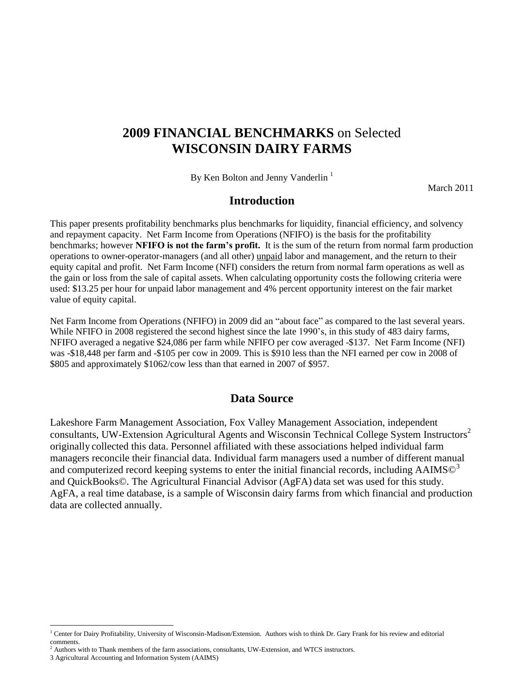# **2009 FINANCIAL BENCHMARKS** on Selected **WISCONSIN DAIRY FARMS**

By Ken Bolton and Jenny Vanderlin<sup>1</sup>

March 2011

### **Introduction**

This paper presents profitability benchmarks plus benchmarks for liquidity, financial efficiency, and solvency and repayment capacity. Net Farm Income from Operations (NFIFO) is the basis for the profitability benchmarks; however **NFIFO is not the farm's profit.** It is the sum of the return from normal farm production operations to owner-operator-managers (and all other) unpaid labor and management, and the return to their equity capital and profit. Net Farm Income (NFI) considers the return from normal farm operations as well as the gain or loss from the sale of capital assets. When calculating opportunity costs the following criteria were used: \$13.25 per hour for unpaid labor management and 4% percent opportunity interest on the fair market value of equity capital.

Net Farm Income from Operations (NFIFO) in 2009 did an "about face" as compared to the last several years. While NFIFO in 2008 registered the second highest since the late 1990's, in this study of 483 dairy farms, NFIFO averaged a negative \$24,086 per farm while NFIFO per cow averaged -\$137. Net Farm Income (NFI) was -\$18,448 per farm and -\$105 per cow in 2009. This is \$910 less than the NFI earned per cow in 2008 of \$805 and approximately \$1062/cow less than that earned in 2007 of \$957.

### **Data Source**

Lakeshore Farm Management Association, Fox Valley Management Association, independent consultants, UW-Extension Agricultural Agents and Wisconsin Technical College System Instructors<sup>2</sup> originally collected this data. Personnel affiliated with these associations helped individual farm managers reconcile their financial data. Individual farm managers used a number of different manual and computerized record keeping systems to enter the initial financial records, including  $AAIMS@3$ and QuickBooks©. The Agricultural Financial Advisor (AgFA) data set was used for this study. AgFA, a real time database, is a sample of Wisconsin dairy farms from which financial and production data are collected annually.

l

<sup>&</sup>lt;sup>1</sup> Center for Dairy Profitability, University of Wisconsin-Madison/Extension. Authors wish to think Dr. Gary Frank for his review and editorial comments.

<sup>2</sup> Authors with to Thank members of the farm associations, consultants, UW-Extension, and WTCS instructors.

<sup>3</sup> Agricultural Accounting and Information System (AAIMS)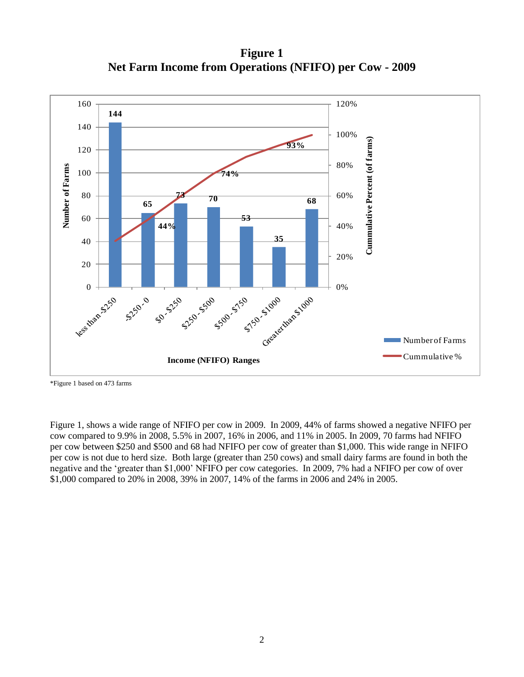**Figure 1 Net Farm Income from Operations (NFIFO) per Cow - 2009**



\*Figure 1 based on 473 farms

Figure 1, shows a wide range of NFIFO per cow in 2009. In 2009, 44% of farms showed a negative NFIFO per cow compared to 9.9% in 2008, 5.5% in 2007, 16% in 2006, and 11% in 2005. In 2009, 70 farms had NFIFO per cow between \$250 and \$500 and 68 had NFIFO per cow of greater than \$1,000. This wide range in NFIFO per cow is not due to herd size. Both large (greater than 250 cows) and small dairy farms are found in both the negative and the "greater than \$1,000" NFIFO per cow categories. In 2009, 7% had a NFIFO per cow of over \$1,000 compared to 20% in 2008, 39% in 2007, 14% of the farms in 2006 and 24% in 2005.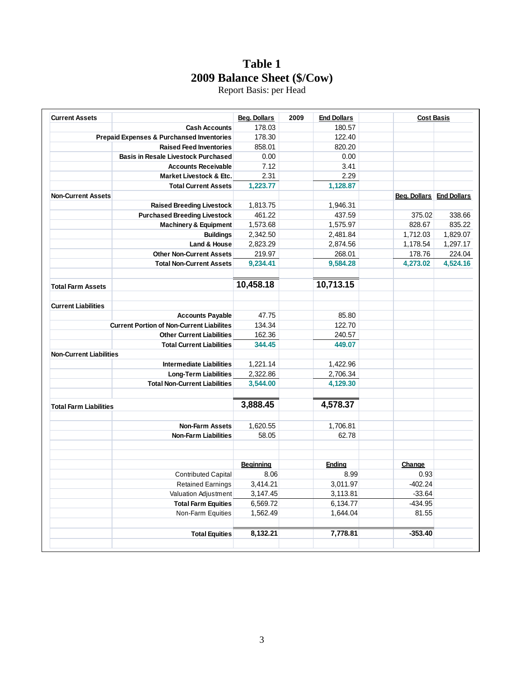# **Table 1 2009 Balance Sheet (\$/Cow)**

Report Basis: per Head

| <b>Current Assets</b>          |                                                  | <b>Beg. Dollars</b> | 2009 | <b>End Dollars</b> | <b>Cost Basis</b>               |          |
|--------------------------------|--------------------------------------------------|---------------------|------|--------------------|---------------------------------|----------|
|                                | <b>Cash Accounts</b>                             | 178.03              |      | 180.57             |                                 |          |
|                                | Prepaid Expenses & Purchansed Inventories        | 178.30              |      | 122.40             |                                 |          |
|                                | <b>Raised Feed Inventories</b>                   | 858.01              |      | 820.20             |                                 |          |
|                                | <b>Basis in Resale Livestock Purchased</b>       | 0.00                |      | 0.00               |                                 |          |
|                                | <b>Accounts Receivable</b>                       | 7.12                |      | 3.41               |                                 |          |
|                                | Market Livestock & Etc.                          | 2.31                |      | 2.29               |                                 |          |
|                                | <b>Total Current Assets</b>                      | 1,223.77            |      | 1,128.87           |                                 |          |
| <b>Non-Current Assets</b>      |                                                  |                     |      |                    | <b>Beg. Dollars End Dollars</b> |          |
|                                | <b>Raised Breeding Livestock</b>                 | 1,813.75            |      | 1,946.31           |                                 |          |
|                                | <b>Purchased Breeding Livestock</b>              | 461.22              |      | 437.59             | 375.02                          | 338.66   |
|                                | <b>Machinery &amp; Equipment</b>                 | 1,573.68            |      | 1,575.97           | 828.67                          | 835.22   |
|                                | <b>Buildings</b>                                 | 2,342.50            |      | 2,481.84           | 1,712.03                        | 1,829.07 |
|                                | Land & House                                     | 2,823.29            |      | 2,874.56           | 1,178.54                        | 1,297.17 |
|                                | <b>Other Non-Current Assets</b>                  | 219.97              |      | 268.01             | 178.76                          | 224.04   |
|                                | <b>Total Non-Current Assets</b>                  | 9,234.41            |      | 9,584.28           | 4,273.02                        | 4,524.16 |
|                                |                                                  |                     |      |                    |                                 |          |
| <b>Total Farm Assets</b>       |                                                  | 10,458.18           |      | 10,713.15          |                                 |          |
| <b>Current Liabilities</b>     |                                                  |                     |      |                    |                                 |          |
|                                | <b>Accounts Payable</b>                          | 47.75               |      | 85.80              |                                 |          |
|                                | <b>Current Portion of Non-Current Liabilites</b> | 134.34              |      | 122.70             |                                 |          |
|                                | <b>Other Current Liabilities</b>                 | 162.36              |      | 240.57             |                                 |          |
|                                | <b>Total Current Liabilities</b>                 | 344.45              |      | 449.07             |                                 |          |
| <b>Non-Current Liabilities</b> |                                                  |                     |      |                    |                                 |          |
|                                | <b>Intermediate Liabilities</b>                  | 1,221.14            |      | 1,422.96           |                                 |          |
|                                | <b>Long-Term Liabilities</b>                     | 2,322.86            |      | 2,706.34           |                                 |          |
|                                | <b>Total Non-Current Liabilities</b>             | 3,544.00            |      | 4,129.30           |                                 |          |
|                                |                                                  |                     |      |                    |                                 |          |
| <b>Total Farm Liabilities</b>  |                                                  | 3,888.45            |      | 4,578.37           |                                 |          |
|                                | <b>Non-Farm Assets</b>                           | 1,620.55            |      | 1,706.81           |                                 |          |
|                                | <b>Non-Farm Liabilities</b>                      | 58.05               |      | 62.78              |                                 |          |
|                                |                                                  | <b>Beginning</b>    |      | <b>Ending</b>      | Change                          |          |
|                                | <b>Contributed Capital</b>                       | 8.06                |      | 8.99               | 0.93                            |          |
|                                | <b>Retained Earnings</b>                         | 3,414.21            |      | 3,011.97           | $-402.24$                       |          |
|                                | Valuation Adjustment                             | 3,147.45            |      | 3,113.81           | $-33.64$                        |          |
|                                | <b>Total Farm Equities</b>                       | 6,569.72            |      | 6,134.77           | $-434.95$                       |          |
|                                | Non-Farm Equities                                | 1,562.49            |      | 1,644.04           | 81.55                           |          |
|                                |                                                  |                     |      |                    |                                 |          |
|                                | <b>Total Equities</b>                            | 8,132.21            |      | 7,778.81           | $-353.40$                       |          |
|                                |                                                  |                     |      |                    |                                 |          |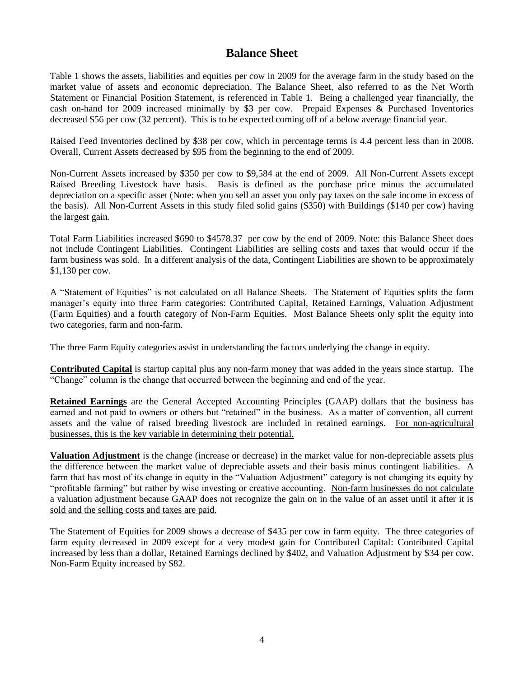## **Balance Sheet**

Table 1 shows the assets, liabilities and equities per cow in 2009 for the average farm in the study based on the market value of assets and economic depreciation. The Balance Sheet, also referred to as the Net Worth Statement or Financial Position Statement, is referenced in Table 1. Being a challenged year financially, the cash on-hand for 2009 increased minimally by \$3 per cow. Prepaid Expenses & Purchased Inventories decreased \$56 per cow (32 percent). This is to be expected coming off of a below average financial year.

Raised Feed Inventories declined by \$38 per cow, which in percentage terms is 4.4 percent less than in 2008. Overall, Current Assets decreased by \$95 from the beginning to the end of 2009.

Non-Current Assets increased by \$350 per cow to \$9,584 at the end of 2009. All Non-Current Assets except Raised Breeding Livestock have basis. Basis is defined as the purchase price minus the accumulated depreciation on a specific asset (Note: when you sell an asset you only pay taxes on the sale income in excess of the basis). All Non-Current Assets in this study filed solid gains (\$350) with Buildings (\$140 per cow) having the largest gain.

Total Farm Liabilities increased \$690 to \$4578.37 per cow by the end of 2009. Note: this Balance Sheet does not include Contingent Liabilities. Contingent Liabilities are selling costs and taxes that would occur if the farm business was sold. In a different analysis of the data, Contingent Liabilities are shown to be approximately \$1,130 per cow.

A "Statement of Equities" is not calculated on all Balance Sheets. The Statement of Equities splits the farm manager"s equity into three Farm categories: Contributed Capital, Retained Earnings, Valuation Adjustment (Farm Equities) and a fourth category of Non-Farm Equities. Most Balance Sheets only split the equity into two categories, farm and non-farm.

The three Farm Equity categories assist in understanding the factors underlying the change in equity.

**Contributed Capital** is startup capital plus any non-farm money that was added in the years since startup. The "Change" column is the change that occurred between the beginning and end of the year.

**Retained Earnings** are the General Accepted Accounting Principles (GAAP) dollars that the business has earned and not paid to owners or others but "retained" in the business. As a matter of convention, all current assets and the value of raised breeding livestock are included in retained earnings. For non-agricultural businesses, this is the key variable in determining their potential.

**Valuation Adjustment** is the change (increase or decrease) in the market value for non-depreciable assets plus the difference between the market value of depreciable assets and their basis minus contingent liabilities. A farm that has most of its change in equity in the "Valuation Adjustment" category is not changing its equity by "profitable farming" but rather by wise investing or creative accounting. Non-farm businesses do not calculate a valuation adjustment because GAAP does not recognize the gain on in the value of an asset until it after it is sold and the selling costs and taxes are paid.

The Statement of Equities for 2009 shows a decrease of \$435 per cow in farm equity. The three categories of farm equity decreased in 2009 except for a very modest gain for Contributed Capital: Contributed Capital increased by less than a dollar, Retained Earnings declined by \$402, and Valuation Adjustment by \$34 per cow. Non-Farm Equity increased by \$82.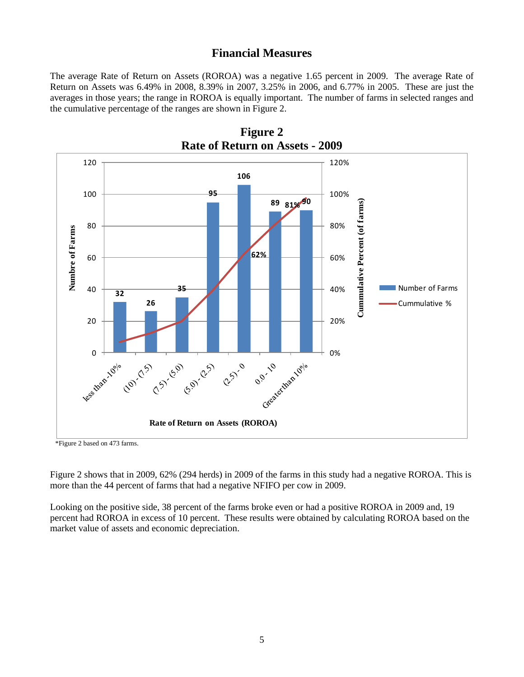### **Financial Measures**

The average Rate of Return on Assets (ROROA) was a negative 1.65 percent in 2009. The average Rate of Return on Assets was 6.49% in 2008, 8.39% in 2007, 3.25% in 2006, and 6.77% in 2005. These are just the averages in those years; the range in ROROA is equally important. The number of farms in selected ranges and the cumulative percentage of the ranges are shown in Figure 2.



**Figure 2**

\*Figure 2 based on 473 farms.

Figure 2 shows that in 2009, 62% (294 herds) in 2009 of the farms in this study had a negative ROROA. This is more than the 44 percent of farms that had a negative NFIFO per cow in 2009.

Looking on the positive side, 38 percent of the farms broke even or had a positive ROROA in 2009 and, 19 percent had ROROA in excess of 10 percent. These results were obtained by calculating ROROA based on the market value of assets and economic depreciation.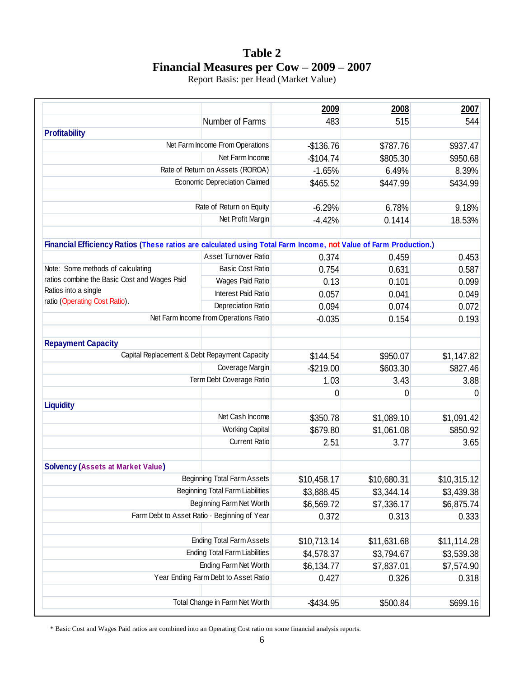## **Table 2 Financial Measures per Cow – 2009 – 2007**

Report Basis: per Head (Market Value)

|                                                                                                                  |                                              | 2009        | 2008        | 2007        |
|------------------------------------------------------------------------------------------------------------------|----------------------------------------------|-------------|-------------|-------------|
|                                                                                                                  | Number of Farms                              | 483         | 515         | 544         |
| <b>Profitability</b>                                                                                             |                                              |             |             |             |
| Net Farm Income From Operations                                                                                  |                                              | $-$136.76$  | \$787.76    | \$937.47    |
|                                                                                                                  | Net Farm Income                              | $-$104.74$  | \$805.30    | \$950.68    |
|                                                                                                                  | Rate of Return on Assets (ROROA)             | $-1.65%$    | 6.49%       | 8.39%       |
|                                                                                                                  | Economic Depreciation Claimed                | \$465.52    | \$447.99    | \$434.99    |
|                                                                                                                  |                                              |             |             |             |
|                                                                                                                  | Rate of Return on Equity                     | $-6.29%$    | 6.78%       | 9.18%       |
|                                                                                                                  | Net Profit Margin                            | $-4.42%$    | 0.1414      | 18.53%      |
| Financial Efficiency Ratios (These ratios are calculated using Total Farm Income, not Value of Farm Production.) |                                              |             |             |             |
|                                                                                                                  | Asset Turnover Ratio                         | 0.374       | 0.459       | 0.453       |
| Note: Some methods of calculating                                                                                | <b>Basic Cost Ratio</b>                      | 0.754       | 0.631       | 0.587       |
| ratios combine the Basic Cost and Wages Paid                                                                     | Wages Paid Ratio                             | 0.13        | 0.101       | 0.099       |
| Ratios into a single                                                                                             | <b>Interest Paid Ratio</b>                   | 0.057       | 0.041       | 0.049       |
| ratio (Operating Cost Ratio).                                                                                    | Depreciation Ratio                           | 0.094       | 0.074       | 0.072       |
|                                                                                                                  | Net Farm Income from Operations Ratio        | $-0.035$    | 0.154       | 0.193       |
| <b>Repayment Capacity</b>                                                                                        |                                              |             |             |             |
| Capital Replacement & Debt Repayment Capacity                                                                    |                                              | \$144.54    | \$950.07    | \$1,147.82  |
|                                                                                                                  | Coverage Margin                              | $-$219.00$  | \$603.30    | \$827.46    |
|                                                                                                                  | Term Debt Coverage Ratio                     | 1.03        | 3.43        | 3.88        |
|                                                                                                                  |                                              | 0           | 0           | 0           |
| <b>Liquidity</b>                                                                                                 |                                              |             |             |             |
|                                                                                                                  | Net Cash Income                              | \$350.78    | \$1,089.10  | \$1,091.42  |
|                                                                                                                  | <b>Working Capital</b>                       | \$679.80    | \$1,061.08  | \$850.92    |
|                                                                                                                  | <b>Current Ratio</b>                         | 2.51        | 3.77        | 3.65        |
| <b>Solvency (Assets at Market Value)</b>                                                                         |                                              |             |             |             |
|                                                                                                                  | <b>Beginning Total Farm Assets</b>           | \$10,458.17 | \$10,680.31 | \$10,315.12 |
|                                                                                                                  | <b>Beginning Total Farm Liabilities</b>      | \$3,888.45  | \$3,344.14  | \$3,439.38  |
|                                                                                                                  | Beginning Farm Net Worth                     | \$6,569.72  | \$7,336.17  | \$6,875.74  |
|                                                                                                                  | Farm Debt to Asset Ratio - Beginning of Year | 0.372       | 0.313       | 0.333       |
|                                                                                                                  |                                              |             |             |             |
|                                                                                                                  | <b>Ending Total Farm Assets</b>              | \$10,713.14 | \$11,631.68 | \$11,114.28 |
|                                                                                                                  | <b>Ending Total Farm Liabilities</b>         | \$4,578.37  | \$3,794.67  | \$3,539.38  |
|                                                                                                                  | Ending Farm Net Worth                        | \$6,134.77  | \$7,837.01  | \$7,574.90  |
|                                                                                                                  | Year Ending Farm Debt to Asset Ratio         | 0.427       | 0.326       | 0.318       |
|                                                                                                                  | Total Change in Farm Net Worth               | $-$434.95$  | \$500.84    | \$699.16    |
|                                                                                                                  |                                              |             |             |             |

\* Basic Cost and Wages Paid ratios are combined into an Operating Cost ratio on some financial analysis reports.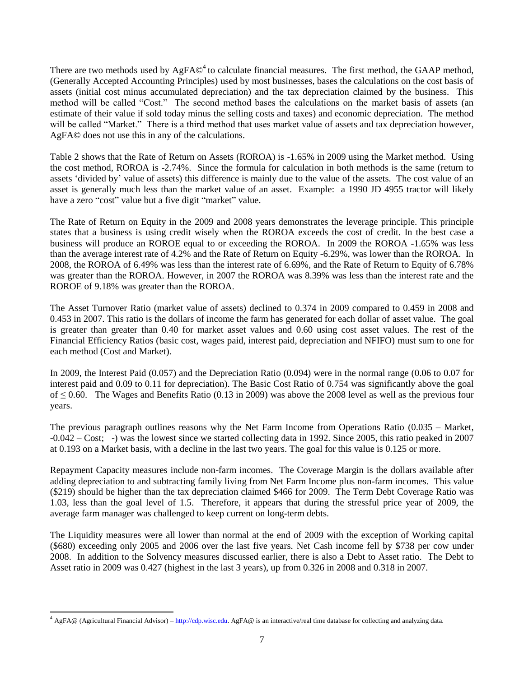There are two methods used by  $AgFA@<sup>4</sup>$  to calculate financial measures. The first method, the GAAP method, (Generally Accepted Accounting Principles) used by most businesses, bases the calculations on the cost basis of assets (initial cost minus accumulated depreciation) and the tax depreciation claimed by the business. This method will be called "Cost." The second method bases the calculations on the market basis of assets (an estimate of their value if sold today minus the selling costs and taxes) and economic depreciation. The method will be called "Market." There is a third method that uses market value of assets and tax depreciation however, AgFA© does not use this in any of the calculations.

Table 2 shows that the Rate of Return on Assets (ROROA) is -1.65% in 2009 using the Market method. Using the cost method, ROROA is -2.74%. Since the formula for calculation in both methods is the same (return to assets "divided by" value of assets) this difference is mainly due to the value of the assets. The cost value of an asset is generally much less than the market value of an asset. Example: a 1990 JD 4955 tractor will likely have a zero "cost" value but a five digit "market" value.

The Rate of Return on Equity in the 2009 and 2008 years demonstrates the leverage principle. This principle states that a business is using credit wisely when the ROROA exceeds the cost of credit. In the best case a business will produce an ROROE equal to or exceeding the ROROA. In 2009 the ROROA -1.65% was less than the average interest rate of 4.2% and the Rate of Return on Equity -6.29%, was lower than the ROROA. In 2008, the ROROA of 6.49% was less than the interest rate of 6.69%, and the Rate of Return to Equity of 6.78% was greater than the ROROA. However, in 2007 the ROROA was 8.39% was less than the interest rate and the ROROE of 9.18% was greater than the ROROA.

The Asset Turnover Ratio (market value of assets) declined to 0.374 in 2009 compared to 0.459 in 2008 and 0.453 in 2007. This ratio is the dollars of income the farm has generated for each dollar of asset value. The goal is greater than greater than 0.40 for market asset values and 0.60 using cost asset values. The rest of the Financial Efficiency Ratios (basic cost, wages paid, interest paid, depreciation and NFIFO) must sum to one for each method (Cost and Market).

In 2009, the Interest Paid (0.057) and the Depreciation Ratio (0.094) were in the normal range (0.06 to 0.07 for interest paid and 0.09 to 0.11 for depreciation). The Basic Cost Ratio of 0.754 was significantly above the goal of  $\leq 0.60$ . The Wages and Benefits Ratio (0.13 in 2009) was above the 2008 level as well as the previous four years.

The previous paragraph outlines reasons why the Net Farm Income from Operations Ratio (0.035 – Market, -0.042 – Cost; -) was the lowest since we started collecting data in 1992. Since 2005, this ratio peaked in 2007 at 0.193 on a Market basis, with a decline in the last two years. The goal for this value is 0.125 or more.

Repayment Capacity measures include non-farm incomes. The Coverage Margin is the dollars available after adding depreciation to and subtracting family living from Net Farm Income plus non-farm incomes. This value (\$219) should be higher than the tax depreciation claimed \$466 for 2009. The Term Debt Coverage Ratio was 1.03, less than the goal level of 1.5. Therefore, it appears that during the stressful price year of 2009, the average farm manager was challenged to keep current on long-term debts.

The Liquidity measures were all lower than normal at the end of 2009 with the exception of Working capital (\$680) exceeding only 2005 and 2006 over the last five years. Net Cash income fell by \$738 per cow under 2008. In addition to the Solvency measures discussed earlier, there is also a Debt to Asset ratio. The Debt to Asset ratio in 2009 was 0.427 (highest in the last 3 years), up from 0.326 in 2008 and 0.318 in 2007.

l

<sup>&</sup>lt;sup>4</sup> AgFA@ (Agricultural Financial Advisor) – [http://cdp.wisc.edu.](http://cdp.wisc.edu/) AgFA@ is an interactive/real time database for collecting and analyzing data.